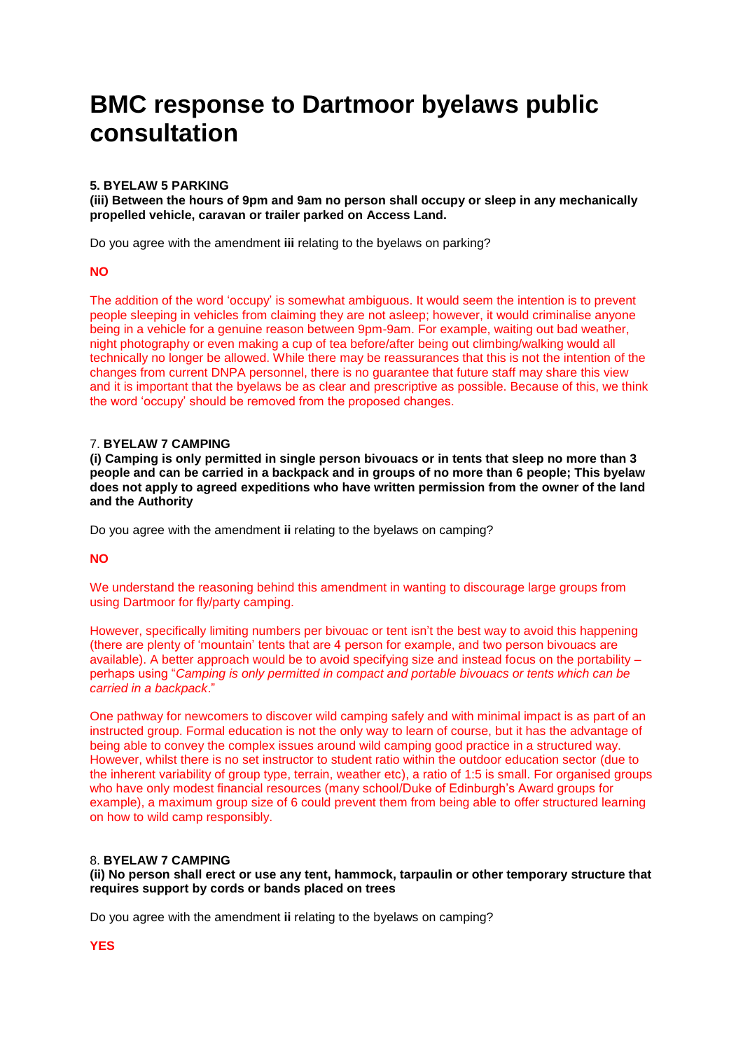# **BMC response to Dartmoor byelaws public consultation**

# **5. BYELAW 5 PARKING**

**(iii) Between the hours of 9pm and 9am no person shall occupy or sleep in any mechanically propelled vehicle, caravan or trailer parked on Access Land.**

Do you agree with the amendment **iii** relating to the byelaws on parking?

### **NO**

The addition of the word 'occupy' is somewhat ambiguous. It would seem the intention is to prevent people sleeping in vehicles from claiming they are not asleep; however, it would criminalise anyone being in a vehicle for a genuine reason between 9pm-9am. For example, waiting out bad weather, night photography or even making a cup of tea before/after being out climbing/walking would all technically no longer be allowed. While there may be reassurances that this is not the intention of the changes from current DNPA personnel, there is no guarantee that future staff may share this view and it is important that the byelaws be as clear and prescriptive as possible. Because of this, we think the word 'occupy' should be removed from the proposed changes.

# 7. **BYELAW 7 CAMPING**

**(i) Camping is only permitted in single person bivouacs or in tents that sleep no more than 3 people and can be carried in a backpack and in groups of no more than 6 people; This byelaw does not apply to agreed expeditions who have written permission from the owner of the land and the Authority**

Do you agree with the amendment **ii** relating to the byelaws on camping?

### **NO**

We understand the reasoning behind this amendment in wanting to discourage large groups from using Dartmoor for fly/party camping.

However, specifically limiting numbers per bivouac or tent isn't the best way to avoid this happening (there are plenty of 'mountain' tents that are 4 person for example, and two person bivouacs are available). A better approach would be to avoid specifying size and instead focus on the portability – perhaps using "*Camping is only permitted in compact and portable bivouacs or tents which can be carried in a backpack*."

One pathway for newcomers to discover wild camping safely and with minimal impact is as part of an instructed group. Formal education is not the only way to learn of course, but it has the advantage of being able to convey the complex issues around wild camping good practice in a structured way. However, whilst there is no set instructor to student ratio within the outdoor education sector (due to the inherent variability of group type, terrain, weather etc), a ratio of 1:5 is small. For organised groups who have only modest financial resources (many school/Duke of Edinburgh's Award groups for example), a maximum group size of 6 could prevent them from being able to offer structured learning on how to wild camp responsibly.

# 8. **BYELAW 7 CAMPING**

**(ii) No person shall erect or use any tent, hammock, tarpaulin or other temporary structure that requires support by cords or bands placed on trees**

Do you agree with the amendment **ii** relating to the byelaws on camping?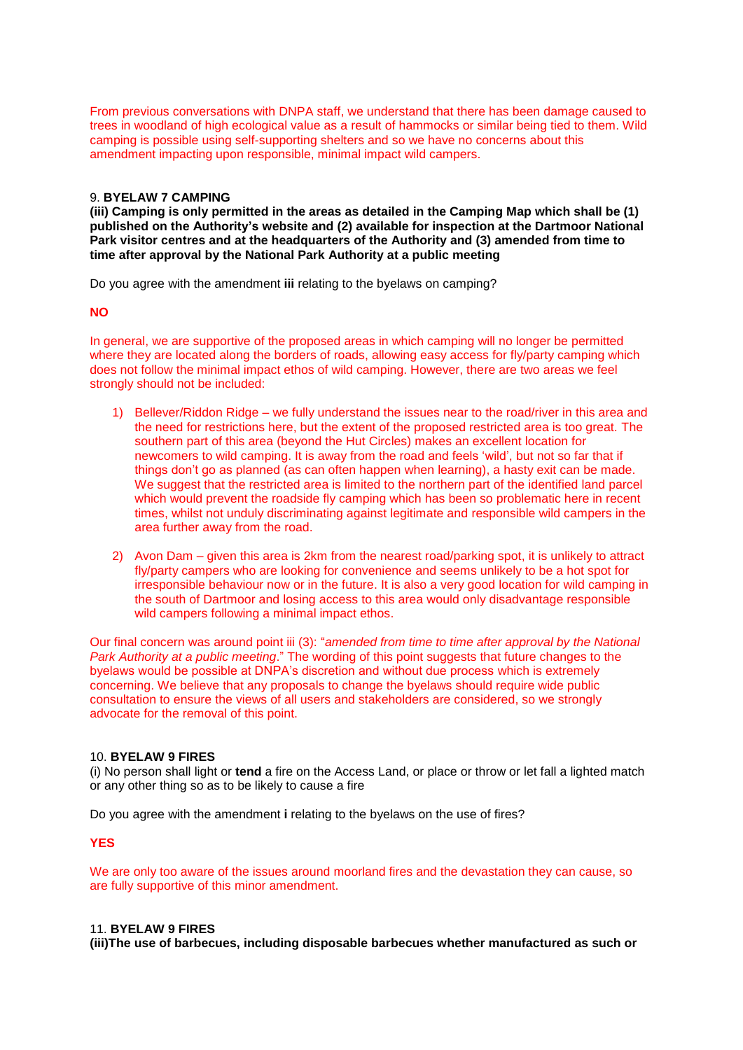From previous conversations with DNPA staff, we understand that there has been damage caused to trees in woodland of high ecological value as a result of hammocks or similar being tied to them. Wild camping is possible using self-supporting shelters and so we have no concerns about this amendment impacting upon responsible, minimal impact wild campers.

#### 9. **BYELAW 7 CAMPING**

**(iii) Camping is only permitted in the areas as detailed in the Camping Map which shall be (1) published on the Authority's website and (2) available for inspection at the Dartmoor National Park visitor centres and at the headquarters of the Authority and (3) amended from time to time after approval by the National Park Authority at a public meeting**

Do you agree with the amendment **iii** relating to the byelaws on camping?

#### **NO**

In general, we are supportive of the proposed areas in which camping will no longer be permitted where they are located along the borders of roads, allowing easy access for fly/party camping which does not follow the minimal impact ethos of wild camping. However, there are two areas we feel strongly should not be included:

- 1) Bellever/Riddon Ridge we fully understand the issues near to the road/river in this area and the need for restrictions here, but the extent of the proposed restricted area is too great. The southern part of this area (beyond the Hut Circles) makes an excellent location for newcomers to wild camping. It is away from the road and feels 'wild', but not so far that if things don't go as planned (as can often happen when learning), a hasty exit can be made. We suggest that the restricted area is limited to the northern part of the identified land parcel which would prevent the roadside fly camping which has been so problematic here in recent times, whilst not unduly discriminating against legitimate and responsible wild campers in the area further away from the road.
- 2) Avon Dam given this area is 2km from the nearest road/parking spot, it is unlikely to attract fly/party campers who are looking for convenience and seems unlikely to be a hot spot for irresponsible behaviour now or in the future. It is also a very good location for wild camping in the south of Dartmoor and losing access to this area would only disadvantage responsible wild campers following a minimal impact ethos.

Our final concern was around point iii (3): "*amended from time to time after approval by the National Park Authority at a public meeting*." The wording of this point suggests that future changes to the byelaws would be possible at DNPA's discretion and without due process which is extremely concerning. We believe that any proposals to change the byelaws should require wide public consultation to ensure the views of all users and stakeholders are considered, so we strongly advocate for the removal of this point.

# 10. **BYELAW 9 FIRES**

(i) No person shall light or **tend** a fire on the Access Land, or place or throw or let fall a lighted match or any other thing so as to be likely to cause a fire

Do you agree with the amendment **i** relating to the byelaws on the use of fires?

**YES**

We are only too aware of the issues around moorland fires and the devastation they can cause, so are fully supportive of this minor amendment.

# 11. **BYELAW 9 FIRES**

**(iii)The use of barbecues, including disposable barbecues whether manufactured as such or**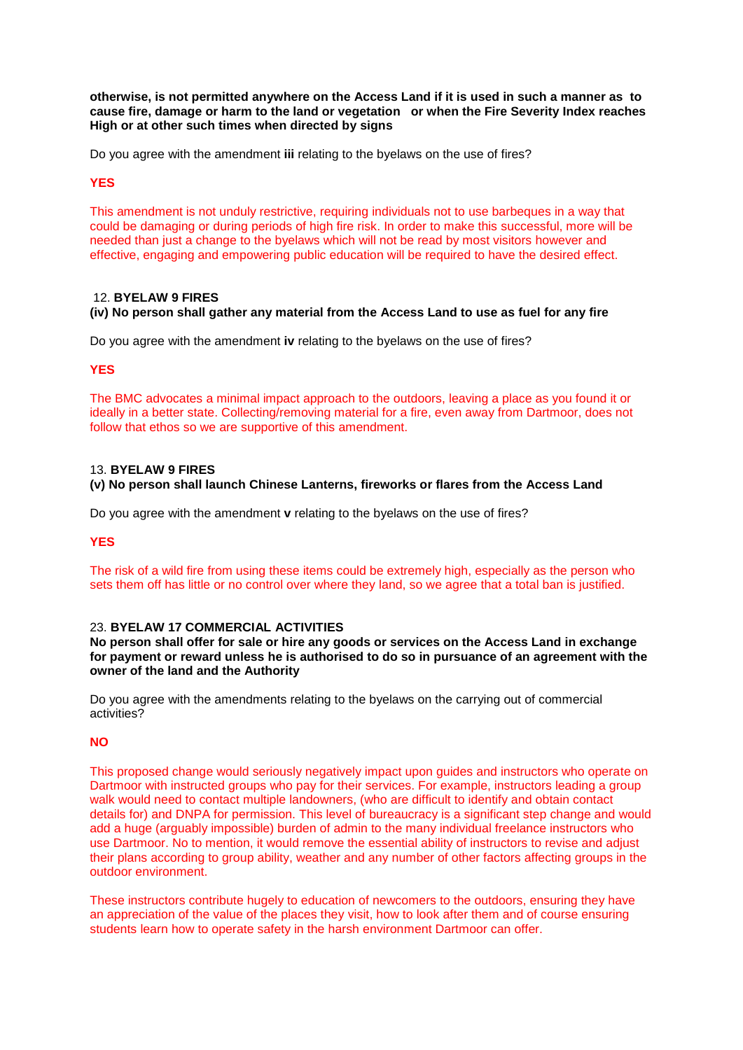otherwise, is not permitted anywhere on the Access Land if it is used in such a manner as to **cause fire, damage or harm to the land or vegetation or when the Fire Severity Index reaches High or at other such times when directed by signs**

Do you agree with the amendment **iii** relating to the byelaws on the use of fires?

# **YES**

This amendment is not unduly restrictive, requiring individuals not to use barbeques in a way that could be damaging or during periods of high fire risk. In order to make this successful, more will be needed than just a change to the byelaws which will not be read by most visitors however and effective, engaging and empowering public education will be required to have the desired effect.

# 12. **BYELAW 9 FIRES**

# **(iv) No person shall gather any material from the Access Land to use as fuel for any fire**

Do you agree with the amendment **iv** relating to the byelaws on the use of fires?

# **YES**

The BMC advocates a minimal impact approach to the outdoors, leaving a place as you found it or ideally in a better state. Collecting/removing material for a fire, even away from Dartmoor, does not follow that ethos so we are supportive of this amendment.

# 13. **BYELAW 9 FIRES**

# **(v) No person shall launch Chinese Lanterns, fireworks or flares from the Access Land**

Do you agree with the amendment **v** relating to the byelaws on the use of fires?

### **YES**

The risk of a wild fire from using these items could be extremely high, especially as the person who sets them off has little or no control over where they land, so we agree that a total ban is justified.

# 23. **BYELAW 17 COMMERCIAL ACTIVITIES**

**No person shall offer for sale or hire any goods or services on the Access Land in exchange for payment or reward unless he is authorised to do so in pursuance of an agreement with the owner of the land and the Authority**

Do you agree with the amendments relating to the byelaws on the carrying out of commercial activities?

# **NO**

This proposed change would seriously negatively impact upon guides and instructors who operate on Dartmoor with instructed groups who pay for their services. For example, instructors leading a group walk would need to contact multiple landowners, (who are difficult to identify and obtain contact details for) and DNPA for permission. This level of bureaucracy is a significant step change and would add a huge (arguably impossible) burden of admin to the many individual freelance instructors who use Dartmoor. No to mention, it would remove the essential ability of instructors to revise and adjust their plans according to group ability, weather and any number of other factors affecting groups in the outdoor environment.

These instructors contribute hugely to education of newcomers to the outdoors, ensuring they have an appreciation of the value of the places they visit, how to look after them and of course ensuring students learn how to operate safety in the harsh environment Dartmoor can offer.